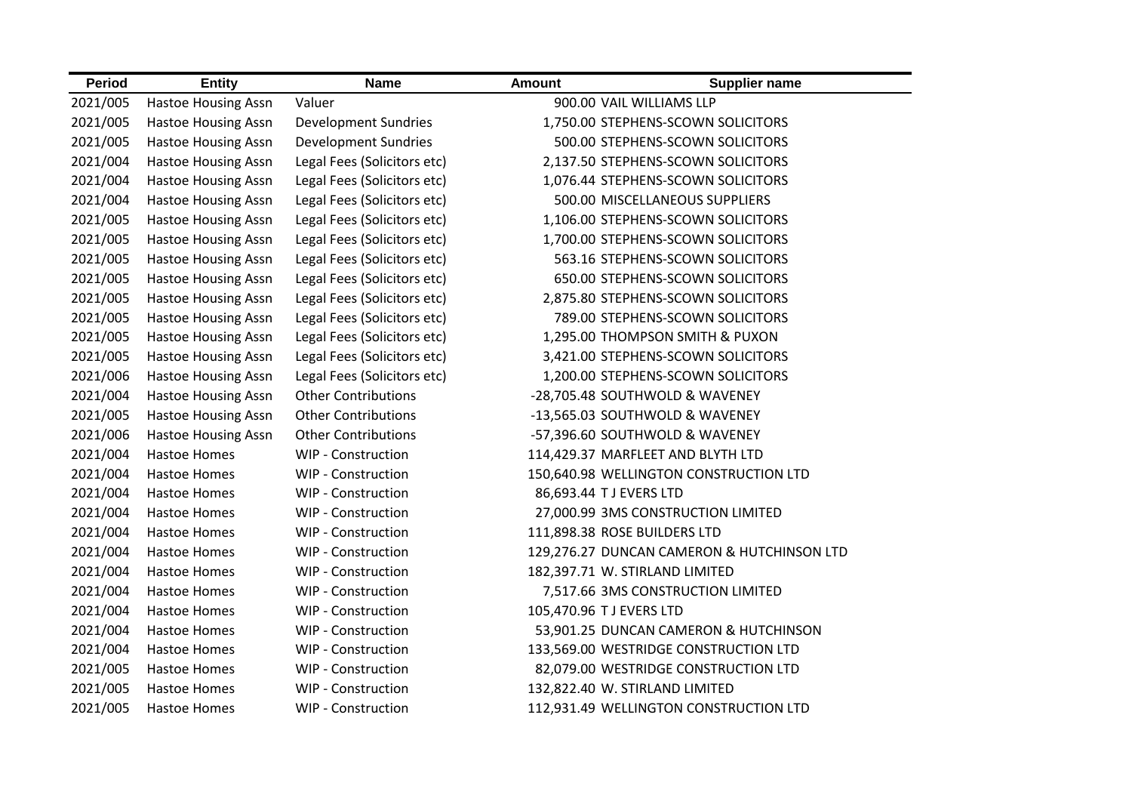| <b>Period</b> | <b>Entity</b>              | <b>Name</b>                 | <b>Amount</b>                  | <b>Supplier name</b>                       |
|---------------|----------------------------|-----------------------------|--------------------------------|--------------------------------------------|
| 2021/005      | Hastoe Housing Assn        | Valuer                      | 900.00 VAIL WILLIAMS LLP       |                                            |
| 2021/005      | <b>Hastoe Housing Assn</b> | <b>Development Sundries</b> |                                | 1,750.00 STEPHENS-SCOWN SOLICITORS         |
| 2021/005      | <b>Hastoe Housing Assn</b> | <b>Development Sundries</b> |                                | 500.00 STEPHENS-SCOWN SOLICITORS           |
| 2021/004      | <b>Hastoe Housing Assn</b> | Legal Fees (Solicitors etc) |                                | 2,137.50 STEPHENS-SCOWN SOLICITORS         |
| 2021/004      | <b>Hastoe Housing Assn</b> | Legal Fees (Solicitors etc) |                                | 1,076.44 STEPHENS-SCOWN SOLICITORS         |
| 2021/004      | <b>Hastoe Housing Assn</b> | Legal Fees (Solicitors etc) |                                | 500.00 MISCELLANEOUS SUPPLIERS             |
| 2021/005      | <b>Hastoe Housing Assn</b> | Legal Fees (Solicitors etc) |                                | 1,106.00 STEPHENS-SCOWN SOLICITORS         |
| 2021/005      | <b>Hastoe Housing Assn</b> | Legal Fees (Solicitors etc) |                                | 1,700.00 STEPHENS-SCOWN SOLICITORS         |
| 2021/005      | <b>Hastoe Housing Assn</b> | Legal Fees (Solicitors etc) |                                | 563.16 STEPHENS-SCOWN SOLICITORS           |
| 2021/005      | <b>Hastoe Housing Assn</b> | Legal Fees (Solicitors etc) |                                | 650.00 STEPHENS-SCOWN SOLICITORS           |
| 2021/005      | <b>Hastoe Housing Assn</b> | Legal Fees (Solicitors etc) |                                | 2,875.80 STEPHENS-SCOWN SOLICITORS         |
| 2021/005      | <b>Hastoe Housing Assn</b> | Legal Fees (Solicitors etc) |                                | 789.00 STEPHENS-SCOWN SOLICITORS           |
| 2021/005      | <b>Hastoe Housing Assn</b> | Legal Fees (Solicitors etc) |                                | 1,295.00 THOMPSON SMITH & PUXON            |
| 2021/005      | <b>Hastoe Housing Assn</b> | Legal Fees (Solicitors etc) |                                | 3,421.00 STEPHENS-SCOWN SOLICITORS         |
| 2021/006      | <b>Hastoe Housing Assn</b> | Legal Fees (Solicitors etc) |                                | 1,200.00 STEPHENS-SCOWN SOLICITORS         |
| 2021/004      | <b>Hastoe Housing Assn</b> | <b>Other Contributions</b>  |                                | -28,705.48 SOUTHWOLD & WAVENEY             |
| 2021/005      | <b>Hastoe Housing Assn</b> | <b>Other Contributions</b>  |                                | -13,565.03 SOUTHWOLD & WAVENEY             |
| 2021/006      | <b>Hastoe Housing Assn</b> | <b>Other Contributions</b>  |                                | -57,396.60 SOUTHWOLD & WAVENEY             |
| 2021/004      | <b>Hastoe Homes</b>        | <b>WIP - Construction</b>   |                                | 114,429.37 MARFLEET AND BLYTH LTD          |
| 2021/004      | <b>Hastoe Homes</b>        | <b>WIP - Construction</b>   |                                | 150,640.98 WELLINGTON CONSTRUCTION LTD     |
| 2021/004      | <b>Hastoe Homes</b>        | WIP - Construction          | 86,693.44 T J EVERS LTD        |                                            |
| 2021/004      | <b>Hastoe Homes</b>        | WIP - Construction          |                                | 27,000.99 3MS CONSTRUCTION LIMITED         |
| 2021/004      | Hastoe Homes               | WIP - Construction          | 111,898.38 ROSE BUILDERS LTD   |                                            |
| 2021/004      | <b>Hastoe Homes</b>        | WIP - Construction          |                                | 129,276.27 DUNCAN CAMERON & HUTCHINSON LTD |
| 2021/004      | <b>Hastoe Homes</b>        | <b>WIP - Construction</b>   | 182,397.71 W. STIRLAND LIMITED |                                            |
| 2021/004      | <b>Hastoe Homes</b>        | WIP - Construction          |                                | 7,517.66 3MS CONSTRUCTION LIMITED          |
| 2021/004      | <b>Hastoe Homes</b>        | WIP - Construction          | 105,470.96 T J EVERS LTD       |                                            |
| 2021/004      | <b>Hastoe Homes</b>        | <b>WIP - Construction</b>   |                                | 53,901.25 DUNCAN CAMERON & HUTCHINSON      |
| 2021/004      | <b>Hastoe Homes</b>        | <b>WIP - Construction</b>   |                                | 133,569.00 WESTRIDGE CONSTRUCTION LTD      |
| 2021/005      | <b>Hastoe Homes</b>        | <b>WIP - Construction</b>   |                                | 82,079.00 WESTRIDGE CONSTRUCTION LTD       |
| 2021/005      | <b>Hastoe Homes</b>        | WIP - Construction          | 132,822.40 W. STIRLAND LIMITED |                                            |
| 2021/005      | <b>Hastoe Homes</b>        | <b>WIP - Construction</b>   |                                | 112,931.49 WELLINGTON CONSTRUCTION LTD     |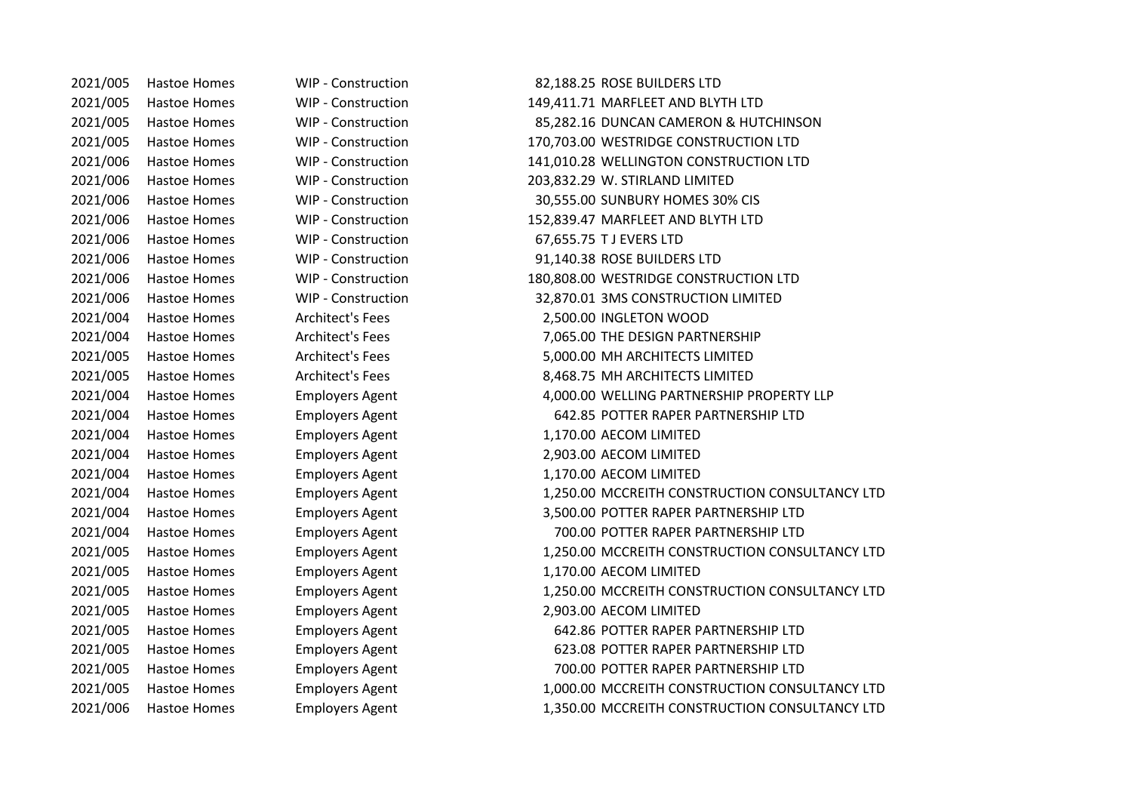2021/006 Hastoe Homes WIP - Construction 67,655.75 T J EVERS LTD

2021/005 Hastoe Homes WIP - Construction 82,188.25 ROSE BUILDERS LTD 2021/005 Hastoe Homes WIP - Construction 149,411.71 MARFLEET AND BLYTH LTD 2021/005 Hastoe Homes WIP - Construction 85,282.16 DUNCAN CAMERON & HUTCHINSON 2021/005 Hastoe Homes WIP - Construction 170,703.00 WESTRIDGE CONSTRUCTION LTD 2021/006 Hastoe Homes WIP - Construction 141,010.28 WELLINGTON CONSTRUCTION LTD 2021/006 Hastoe Homes WIP - Construction 203,832.29 W. STIRLAND LIMITED 2021/006 Hastoe Homes WIP - Construction 30,555.00 SUNBURY HOMES 30% CIS 2021/006 Hastoe Homes WIP - Construction 152,839.47 MARFLEET AND BLYTH LTD 2021/006 Hastoe Homes WIP - Construction 91,140.38 ROSE BUILDERS LTD 2021/006 Hastoe Homes WIP - Construction 180,808.00 WESTRIDGE CONSTRUCTION LTD 2021/006 Hastoe Homes WIP - Construction 32,870.01 3MS CONSTRUCTION LIMITED 2021/004 Hastoe Homes Architect's Fees 2,500.00 INGLETON WOOD 2021/004 Hastoe Homes Architect's Fees 7,065.00 THE DESIGN PARTNERSHIP 2021/005 Hastoe Homes Architect's Fees 5,000.00 MH ARCHITECTS LIMITED 2021/005 Hastoe Homes Architect's Fees 8,468.75 MH ARCHITECTS LIMITED 2021/004 Hastoe Homes Employers Agent 4,000.00 WELLING PARTNERSHIP PROPERTY LLP 2021/004 Hastoe Homes Employers Agent 642.85 POTTER RAPER PARTNERSHIP LTD 2021/004 Hastoe Homes Employers Agent 1,170.00 AECOM LIMITED 2021/004 Hastoe Homes Employers Agent 2,903.00 AECOM LIMITED 2021/004 Hastoe Homes Employers Agent 1,170.00 AECOM LIMITED 2021/004 Hastoe Homes Employers Agent 1,250.00 MCCREITH CONSTRUCTION CONSULTANCY LTD 2021/004 Hastoe Homes Employers Agent 3,500.00 POTTER RAPER PARTNERSHIP LTD 2021/004 Hastoe Homes Employers Agent 700.00 POTTER RAPER PARTNERSHIP LTD 2021/005 Hastoe Homes Employers Agent 1,250.00 MCCREITH CONSTRUCTION CONSULTANCY LTD 2021/005 Hastoe Homes Employers Agent 1,170.00 AECOM LIMITED 2021/005 Hastoe Homes Employers Agent 1,250.00 MCCREITH CONSTRUCTION CONSULTANCY LTD 2021/005 Hastoe Homes Employers Agent 2,903.00 AECOM LIMITED 2021/005 Hastoe Homes Employers Agent 642.86 POTTER RAPER PARTNERSHIP LTD 2021/005 Hastoe Homes Employers Agent 623.08 POTTER RAPER PARTNERSHIP LTD 2021/005 Hastoe Homes Employers Agent 700.00 POTTER RAPER PARTNERSHIP LTD 2021/005 Hastoe Homes Employers Agent 1,000.00 MCCREITH CONSTRUCTION CONSULTANCY LTD 2021/006 Hastoe Homes Employers Agent 1,350.00 MCCREITH CONSTRUCTION CONSULTANCY LTD